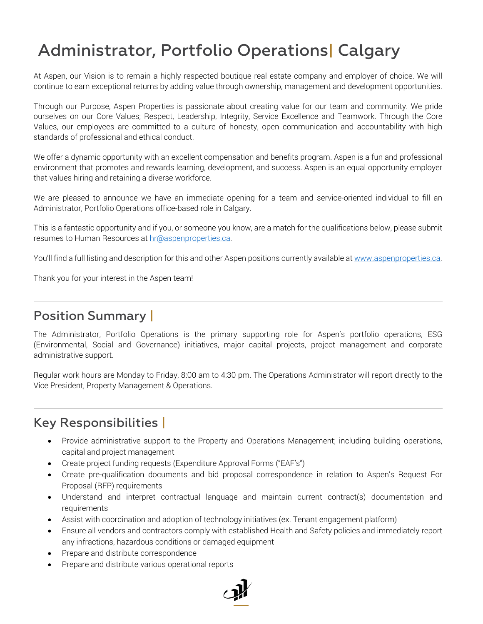## Administrator, Portfolio Operations| Calgary

At Aspen, our Vision is to remain a highly respected boutique real estate company and employer of choice. We will continue to earn exceptional returns by adding value through ownership, management and development opportunities.

Through our Purpose, Aspen Properties is passionate about creating value for our team and community. We pride ourselves on our Core Values; Respect, Leadership, Integrity, Service Excellence and Teamwork. Through the Core Values, our employees are committed to a culture of honesty, open communication and accountability with high standards of professional and ethical conduct.

We offer a dynamic opportunity with an excellent compensation and benefits program. Aspen is a fun and professional environment that promotes and rewards learning, development, and success. Aspen is an equal opportunity employer that values hiring and retaining a diverse workforce.

We are pleased to announce we have an immediate opening for a team and service-oriented individual to fill an Administrator, Portfolio Operations office-based role in Calgary.

This is a fantastic opportunity and if you, or someone you know, are a match for the qualifications below, please submit resumes to Human Resources at [hr@aspenproperties.ca.](mailto:hr@aspenproperties.ca)

You'll find a full listing and description for this and other Aspen positions currently available at www.aspenproperties.ca.

Thank you for your interest in the Aspen team!

## Position Summary |

The Administrator, Portfolio Operations is the primary supporting role for Aspen's portfolio operations, ESG (Environmental, Social and Governance) initiatives, major capital projects, project management and corporate administrative support.

Regular work hours are Monday to Friday, 8:00 am to 4:30 pm. The Operations Administrator will report directly to the Vice President, Property Management & Operations.

## Key Responsibilities |

- Provide administrative support to the Property and Operations Management; including building operations, capital and project management
- Create project funding requests (Expenditure Approval Forms ("EAF's")
- Create pre-qualification documents and bid proposal correspondence in relation to Aspen's Request For Proposal (RFP) requirements
- Understand and interpret contractual language and maintain current contract(s) documentation and requirements
- Assist with coordination and adoption of technology initiatives (ex. Tenant engagement platform)
- Ensure all vendors and contractors comply with established Health and Safety policies and immediately report any infractions, hazardous conditions or damaged equipment
- Prepare and distribute correspondence
- Prepare and distribute various operational reports